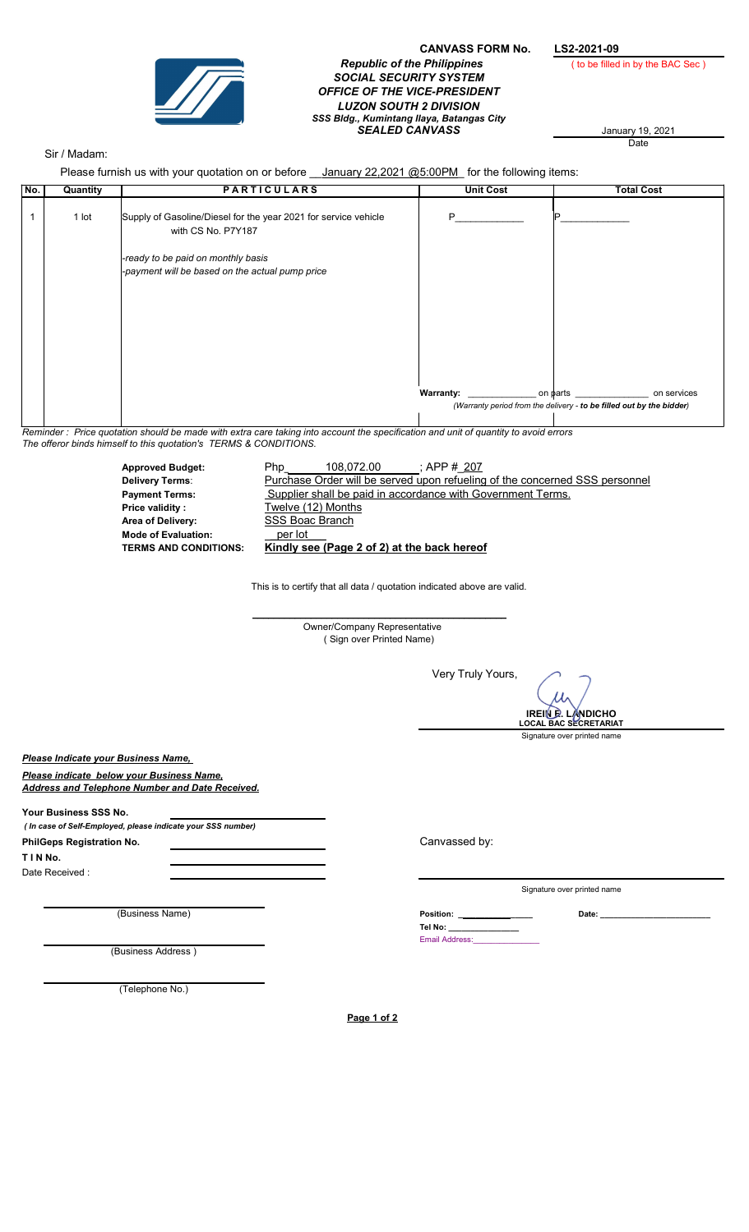

## CANVASS FORM No. LS2-2021-09<br>
g Philippines (to be filled in by the BAC Sec) **Republic of the Philippines** SOCIAL SECURITY SYSTEM OFFICE OF THE VICE-PRESIDENT LUZON SOUTH 2 DIVISION SSS Bldg., Kumintang Ilaya, Batangas City SEALED CANVASS January 19, 2021

January 19, 2021<br>Date

## Sir / Madam:

Please furnish us with your quotation on or before \_\_January 22,2021 @5:00PM\_ for the following items:

| No.                                                                                                                                 | Please furnish us with your quotation on or before <u>Jahuary 22,2021 (@5.00PM</u> for the following items.<br><b>PARTICULARS</b> |                                                                                      |                                                                             | <b>Unit Cost</b>                                            | <b>Total Cost</b>                                                    |
|-------------------------------------------------------------------------------------------------------------------------------------|-----------------------------------------------------------------------------------------------------------------------------------|--------------------------------------------------------------------------------------|-----------------------------------------------------------------------------|-------------------------------------------------------------|----------------------------------------------------------------------|
|                                                                                                                                     | Quantity                                                                                                                          |                                                                                      |                                                                             |                                                             |                                                                      |
| $\mathbf{1}$                                                                                                                        | 1 lot                                                                                                                             | Supply of Gasoline/Diesel for the year 2021 for service vehicle                      |                                                                             | P                                                           |                                                                      |
|                                                                                                                                     | with CS No. P7Y187                                                                                                                |                                                                                      |                                                                             |                                                             |                                                                      |
|                                                                                                                                     |                                                                                                                                   | -ready to be paid on monthly basis                                                   |                                                                             |                                                             |                                                                      |
|                                                                                                                                     |                                                                                                                                   | -payment will be based on the actual pump price                                      |                                                                             |                                                             |                                                                      |
|                                                                                                                                     |                                                                                                                                   |                                                                                      |                                                                             |                                                             |                                                                      |
|                                                                                                                                     |                                                                                                                                   |                                                                                      |                                                                             |                                                             |                                                                      |
|                                                                                                                                     |                                                                                                                                   |                                                                                      |                                                                             |                                                             |                                                                      |
|                                                                                                                                     |                                                                                                                                   |                                                                                      |                                                                             |                                                             |                                                                      |
|                                                                                                                                     |                                                                                                                                   |                                                                                      |                                                                             |                                                             |                                                                      |
|                                                                                                                                     |                                                                                                                                   |                                                                                      |                                                                             |                                                             |                                                                      |
|                                                                                                                                     |                                                                                                                                   |                                                                                      |                                                                             | <b>Warranty:</b>                                            | on services<br>on parts                                              |
|                                                                                                                                     |                                                                                                                                   |                                                                                      |                                                                             |                                                             | (Warranty period from the delivery - to be filled out by the bidder) |
| Reminder: Price quotation should be made with extra care taking into account the specification and unit of quantity to avoid errors |                                                                                                                                   |                                                                                      |                                                                             |                                                             |                                                                      |
| The offeror binds himself to this quotation's TERMS & CONDITIONS.                                                                   |                                                                                                                                   |                                                                                      |                                                                             |                                                             |                                                                      |
|                                                                                                                                     |                                                                                                                                   | <b>Approved Budget:</b>                                                              | 108,072.00<br>Php                                                           | ; APP #_207                                                 |                                                                      |
|                                                                                                                                     |                                                                                                                                   | <b>Delivery Terms:</b>                                                               | Purchase Order will be served upon refueling of the concerned SSS personnel | Supplier shall be paid in accordance with Government Terms. |                                                                      |
|                                                                                                                                     | <b>Payment Terms:</b><br>Twelve (12) Months<br>Price validity :                                                                   |                                                                                      |                                                                             |                                                             |                                                                      |
|                                                                                                                                     | <b>SSS Boac Branch</b><br>Area of Delivery:                                                                                       |                                                                                      |                                                                             |                                                             |                                                                      |
|                                                                                                                                     |                                                                                                                                   | per lot<br><b>Mode of Evaluation:</b><br>Kindly see (Page 2 of 2) at the back hereof |                                                                             |                                                             |                                                                      |
|                                                                                                                                     |                                                                                                                                   | <b>TERMS AND CONDITIONS:</b>                                                         |                                                                             |                                                             |                                                                      |
|                                                                                                                                     |                                                                                                                                   |                                                                                      |                                                                             |                                                             |                                                                      |
|                                                                                                                                     |                                                                                                                                   |                                                                                      | This is to certify that all data / quotation indicated above are valid.     |                                                             |                                                                      |
|                                                                                                                                     |                                                                                                                                   |                                                                                      |                                                                             |                                                             |                                                                      |
|                                                                                                                                     | Owner/Company Representative                                                                                                      |                                                                                      |                                                                             |                                                             |                                                                      |
|                                                                                                                                     | (Sign over Printed Name)                                                                                                          |                                                                                      |                                                                             |                                                             |                                                                      |
|                                                                                                                                     |                                                                                                                                   |                                                                                      |                                                                             |                                                             |                                                                      |
|                                                                                                                                     |                                                                                                                                   |                                                                                      |                                                                             | Very Truly Yours,                                           |                                                                      |
|                                                                                                                                     |                                                                                                                                   |                                                                                      |                                                                             |                                                             |                                                                      |
|                                                                                                                                     |                                                                                                                                   |                                                                                      |                                                                             |                                                             | <b>IREIN D. LANDICHO</b><br><b>LOCAL BAC SECRETARIAT</b>             |
|                                                                                                                                     |                                                                                                                                   |                                                                                      |                                                                             |                                                             | Signature over printed name                                          |
|                                                                                                                                     |                                                                                                                                   | Please Indicate your Business Name,                                                  |                                                                             |                                                             |                                                                      |
| Please indicate below your Business Name.                                                                                           |                                                                                                                                   |                                                                                      |                                                                             |                                                             |                                                                      |
|                                                                                                                                     |                                                                                                                                   | <b>Address and Telephone Number and Date Received.</b>                               |                                                                             |                                                             |                                                                      |
| Your Business SSS No.                                                                                                               |                                                                                                                                   |                                                                                      |                                                                             |                                                             |                                                                      |
| ( In case of Self-Employed, please indicate your SSS number)                                                                        |                                                                                                                                   |                                                                                      |                                                                             |                                                             |                                                                      |
| PhilGeps Registration No.                                                                                                           |                                                                                                                                   |                                                                                      |                                                                             | Canvassed by:                                               |                                                                      |
| TINNo.                                                                                                                              |                                                                                                                                   |                                                                                      |                                                                             |                                                             |                                                                      |
|                                                                                                                                     | Date Received:                                                                                                                    |                                                                                      |                                                                             |                                                             |                                                                      |
|                                                                                                                                     |                                                                                                                                   |                                                                                      |                                                                             |                                                             | Signature over printed name                                          |
|                                                                                                                                     |                                                                                                                                   | (Business Name)                                                                      |                                                                             | Position: ________________                                  |                                                                      |
|                                                                                                                                     |                                                                                                                                   |                                                                                      |                                                                             | Tel No: _______________                                     |                                                                      |
| (Business Address)                                                                                                                  |                                                                                                                                   |                                                                                      |                                                                             | Email Address: Management of President                      |                                                                      |
|                                                                                                                                     |                                                                                                                                   |                                                                                      |                                                                             |                                                             |                                                                      |
| (Telephone No.)                                                                                                                     |                                                                                                                                   |                                                                                      |                                                                             |                                                             |                                                                      |
|                                                                                                                                     |                                                                                                                                   |                                                                                      |                                                                             |                                                             |                                                                      |
|                                                                                                                                     |                                                                                                                                   |                                                                                      | Page 1 of 2                                                                 |                                                             |                                                                      |
|                                                                                                                                     |                                                                                                                                   |                                                                                      |                                                                             |                                                             |                                                                      |
|                                                                                                                                     |                                                                                                                                   |                                                                                      |                                                                             |                                                             |                                                                      |
|                                                                                                                                     |                                                                                                                                   |                                                                                      |                                                                             |                                                             |                                                                      |
|                                                                                                                                     |                                                                                                                                   |                                                                                      |                                                                             |                                                             |                                                                      |